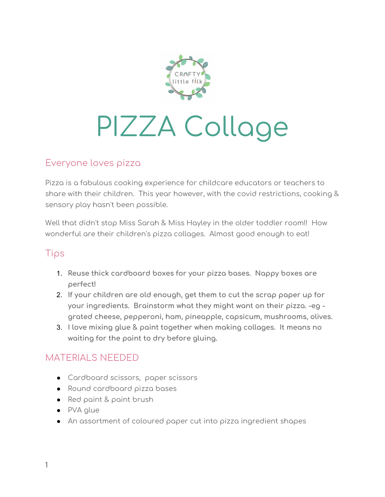

# PIZZA Collage

#### Everyone loves pizza

Pizza is a fabulous cooking experience for childcare educators or teachers to share with their children. This year however, with the covid restrictions, cooking & sensory play hasn't been possible.

Well that didn't stop Miss Sarah & Miss Hayley in the older toddler room!! How wonderful are their children's pizza collages. Almost good enough to eat!

## Tips

- 1. **Reuse thick cardboard boxes for your pizza bases. Nappy boxes are perfect!**
- 2. **If your children are old enough, get them to cut the scrap paper up for your ingredients. Brainstorm what they might want on their pizza. -eg grated cheese, pepperoni, ham, pineapple, capsicum, mushrooms, olives.**
- 3. **I love mixing glue & paint together when making collages. It means no waiting for the paint to dry before gluing.**

## MATERIALS NEEDED

- Cardboard scissors, paper scissors
- Round cardboard pizza bases
- Red paint & paint brush
- PVA glue
- An assortment of coloured paper cut into pizza ingredient shapes